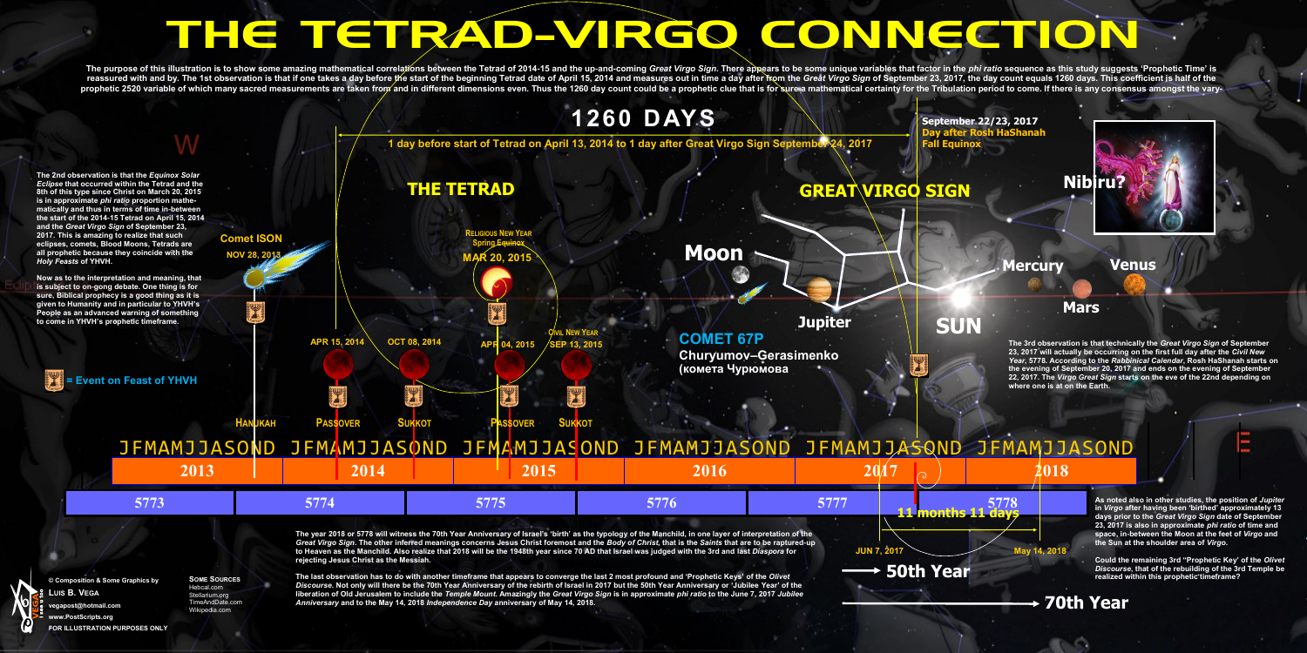# THE TETRAD-VIRGO CONNECTION

The purpose of this illustration is to show some amazing mathematical correlations between the Tetrad of 2014-15 and the up-and-coming *Great Virgo Sign*. There appears to be some unique variables that factor in the *phi r* reassured with and by. The 1st observation is that if one takes a day before the start of the beginning Tetrad date of April 15, 2014 and measures out in time a day after from the *Great Virgo Sign* of September 23, 2017, prophetic 2520 variable of which many sacred measurements are taken from and in different dimensions even. Thus the 1260 day count could be a prophetic clue that is for sure a mathematical certainty for the Tribulation per

> **September 22/23, 2017 Day after Rosh HaSh**

### **Mars**

**Mercury Venus**



*Discourse***. Not only will there be the 70th Year Anniversary of the rebirth of Israel in 2017 but the 50th Year Anniversary or 'Jubilee Year' of the liberation of Old Jerusalem to include the** *Temple Mount***. Amazingly the** *Great Virgo Sign* **is in approximate** *phi ratio* **to the June 7, 2017** *Jubilee Anniversary* **and to the May 14, 2018** *Independence Day* **anniversary of May 14, 2018.** 



Hebcal.com Stellarium.org TimeAndDate.com Wikipedia.com

## **70th Year**

**As noted also in other studies, the position of** *Jupiter* **in** *Virgo* **after having been 'birthed' approximately 13 days prior to the** *Great Virgo Sign* **date of September 23, 2017 is also in approximate** *phi ratio* **of time and space, in-between the Moon at the feet of** *Virgo* **and the Sun at the shoulder area of** *Virgo***.** 

**Could the remaining 3rd "Prophetic Key' of the** *Olivet Discourse***, that of the rebuilding of the 3rd Temple be realized within this prophetic timeframe?** 

**The 3rd observation is that technically the** *Great Virgo Sign* **of September 23, 2017 will actually be occurring on the first full day after the** *Civil New Year***, 5778. According to the** *Rabbinical Calendar***, Rosh HaShanah starts on the evening of September 20, 2017 and ends on the evening of September 22, 2017. The** *Virgo Great Sign* **starts on the eve of the 22nd depending on where one is at on the Earth.**